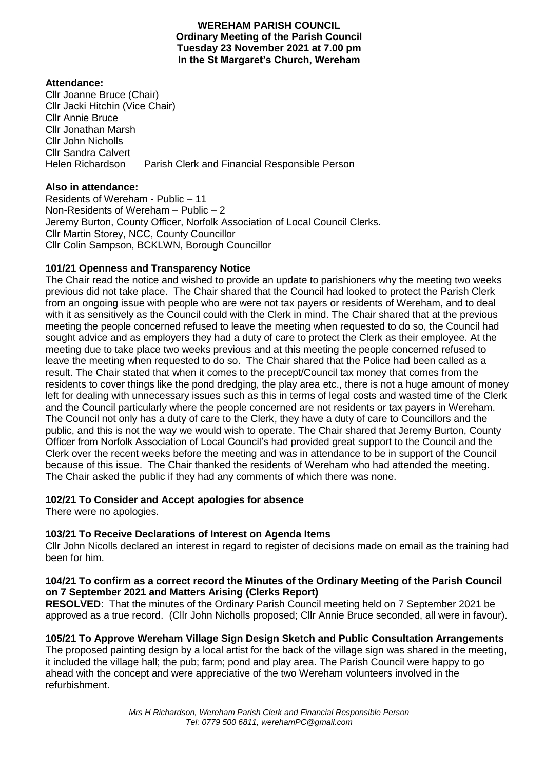### **WEREHAM PARISH COUNCIL Ordinary Meeting of the Parish Council Tuesday 23 November 2021 at 7.00 pm In the St Margaret's Church, Wereham**

## **Attendance:**

Cllr Joanne Bruce (Chair) Cllr Jacki Hitchin (Vice Chair) Cllr Annie Bruce Cllr Jonathan Marsh Cllr John Nicholls Cllr Sandra Calvert Helen Richardson Parish Clerk and Financial Responsible Person

## **Also in attendance:**

Residents of Wereham - Public – 11 Non-Residents of Wereham – Public – 2 Jeremy Burton, County Officer, Norfolk Association of Local Council Clerks. Cllr Martin Storey, NCC, County Councillor Cllr Colin Sampson, BCKLWN, Borough Councillor

# **101/21 Openness and Transparency Notice**

The Chair read the notice and wished to provide an update to parishioners why the meeting two weeks previous did not take place. The Chair shared that the Council had looked to protect the Parish Clerk from an ongoing issue with people who are were not tax payers or residents of Wereham, and to deal with it as sensitively as the Council could with the Clerk in mind. The Chair shared that at the previous meeting the people concerned refused to leave the meeting when requested to do so, the Council had sought advice and as employers they had a duty of care to protect the Clerk as their employee. At the meeting due to take place two weeks previous and at this meeting the people concerned refused to leave the meeting when requested to do so. The Chair shared that the Police had been called as a result. The Chair stated that when it comes to the precept/Council tax money that comes from the residents to cover things like the pond dredging, the play area etc., there is not a huge amount of money left for dealing with unnecessary issues such as this in terms of legal costs and wasted time of the Clerk and the Council particularly where the people concerned are not residents or tax payers in Wereham. The Council not only has a duty of care to the Clerk, they have a duty of care to Councillors and the public, and this is not the way we would wish to operate. The Chair shared that Jeremy Burton, County Officer from Norfolk Association of Local Council's had provided great support to the Council and the Clerk over the recent weeks before the meeting and was in attendance to be in support of the Council because of this issue. The Chair thanked the residents of Wereham who had attended the meeting. The Chair asked the public if they had any comments of which there was none.

# **102/21 To Consider and Accept apologies for absence**

There were no apologies.

# **103/21 To Receive Declarations of Interest on Agenda Items**

Cllr John Nicolls declared an interest in regard to register of decisions made on email as the training had been for him.

### **104/21 To confirm as a correct record the Minutes of the Ordinary Meeting of the Parish Council on 7 September 2021 and Matters Arising (Clerks Report)**

**RESOLVED**: That the minutes of the Ordinary Parish Council meeting held on 7 September 2021 be approved as a true record. (Cllr John Nicholls proposed; Cllr Annie Bruce seconded, all were in favour).

# **105/21 To Approve Wereham Village Sign Design Sketch and Public Consultation Arrangements**

The proposed painting design by a local artist for the back of the village sign was shared in the meeting, it included the village hall; the pub; farm; pond and play area. The Parish Council were happy to go ahead with the concept and were appreciative of the two Wereham volunteers involved in the refurbishment.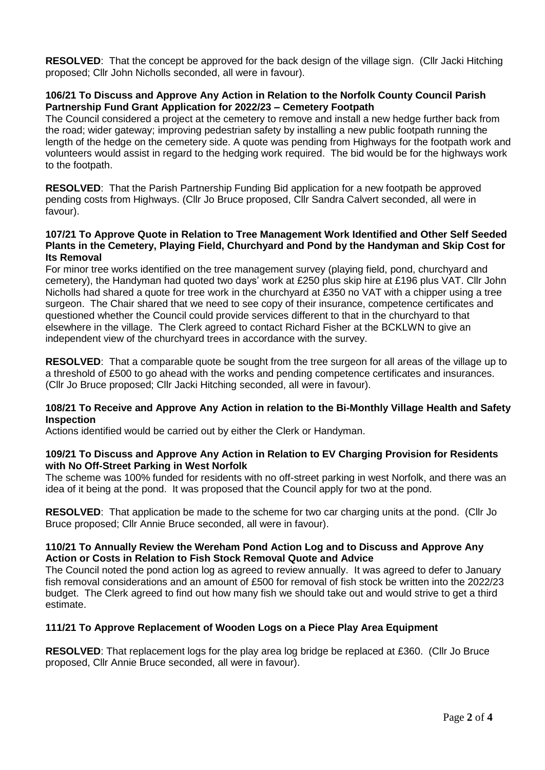**RESOLVED**: That the concept be approved for the back design of the village sign. (Cllr Jacki Hitching proposed; Cllr John Nicholls seconded, all were in favour).

### **106/21 To Discuss and Approve Any Action in Relation to the Norfolk County Council Parish Partnership Fund Grant Application for 2022/23 – Cemetery Footpath**

The Council considered a project at the cemetery to remove and install a new hedge further back from the road; wider gateway; improving pedestrian safety by installing a new public footpath running the length of the hedge on the cemetery side. A quote was pending from Highways for the footpath work and volunteers would assist in regard to the hedging work required. The bid would be for the highways work to the footpath.

**RESOLVED**: That the Parish Partnership Funding Bid application for a new footpath be approved pending costs from Highways. (Cllr Jo Bruce proposed, Cllr Sandra Calvert seconded, all were in favour).

### **107/21 To Approve Quote in Relation to Tree Management Work Identified and Other Self Seeded Plants in the Cemetery, Playing Field, Churchyard and Pond by the Handyman and Skip Cost for Its Removal**

For minor tree works identified on the tree management survey (playing field, pond, churchyard and cemetery), the Handyman had quoted two days' work at £250 plus skip hire at £196 plus VAT. Cllr John Nicholls had shared a quote for tree work in the churchyard at £350 no VAT with a chipper using a tree surgeon. The Chair shared that we need to see copy of their insurance, competence certificates and questioned whether the Council could provide services different to that in the churchyard to that elsewhere in the village. The Clerk agreed to contact Richard Fisher at the BCKLWN to give an independent view of the churchyard trees in accordance with the survey.

**RESOLVED**: That a comparable quote be sought from the tree surgeon for all areas of the village up to a threshold of £500 to go ahead with the works and pending competence certificates and insurances. (Cllr Jo Bruce proposed; Cllr Jacki Hitching seconded, all were in favour).

### **108/21 To Receive and Approve Any Action in relation to the Bi-Monthly Village Health and Safety Inspection**

Actions identified would be carried out by either the Clerk or Handyman.

### **109/21 To Discuss and Approve Any Action in Relation to EV Charging Provision for Residents with No Off-Street Parking in West Norfolk**

The scheme was 100% funded for residents with no off-street parking in west Norfolk, and there was an idea of it being at the pond. It was proposed that the Council apply for two at the pond.

**RESOLVED**: That application be made to the scheme for two car charging units at the pond. (Cllr Jo Bruce proposed; Cllr Annie Bruce seconded, all were in favour).

### **110/21 To Annually Review the Wereham Pond Action Log and to Discuss and Approve Any Action or Costs in Relation to Fish Stock Removal Quote and Advice**

The Council noted the pond action log as agreed to review annually. It was agreed to defer to January fish removal considerations and an amount of £500 for removal of fish stock be written into the 2022/23 budget. The Clerk agreed to find out how many fish we should take out and would strive to get a third estimate.

### **111/21 To Approve Replacement of Wooden Logs on a Piece Play Area Equipment**

**RESOLVED**: That replacement logs for the play area log bridge be replaced at £360. (Cllr Jo Bruce proposed, Cllr Annie Bruce seconded, all were in favour).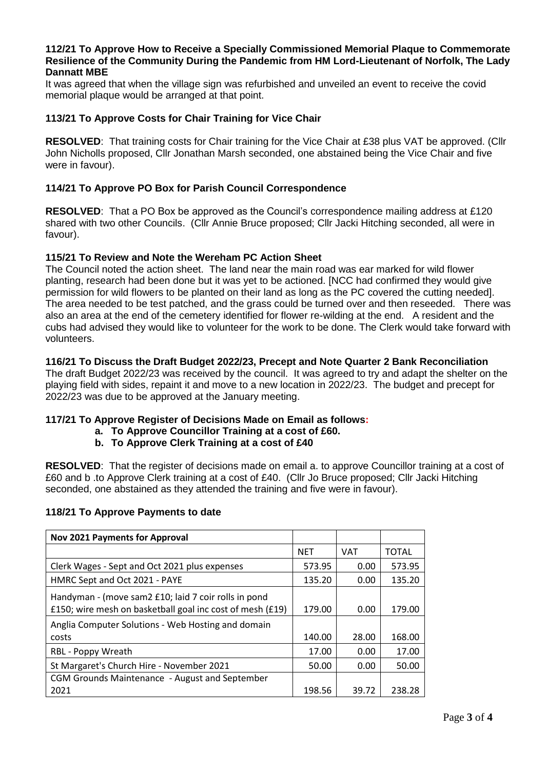#### **112/21 To Approve How to Receive a Specially Commissioned Memorial Plaque to Commemorate Resilience of the Community During the Pandemic from HM Lord-Lieutenant of Norfolk, The Lady Dannatt MBE**

It was agreed that when the village sign was refurbished and unveiled an event to receive the covid memorial plaque would be arranged at that point.

### **113/21 To Approve Costs for Chair Training for Vice Chair**

**RESOLVED**: That training costs for Chair training for the Vice Chair at £38 plus VAT be approved. (Cllr John Nicholls proposed, Cllr Jonathan Marsh seconded, one abstained being the Vice Chair and five were in favour).

### **114/21 To Approve PO Box for Parish Council Correspondence**

**RESOLVED**: That a PO Box be approved as the Council's correspondence mailing address at £120 shared with two other Councils. (Cllr Annie Bruce proposed; Cllr Jacki Hitching seconded, all were in favour).

### **115/21 To Review and Note the Wereham PC Action Sheet**

The Council noted the action sheet. The land near the main road was ear marked for wild flower planting, research had been done but it was yet to be actioned. [NCC had confirmed they would give permission for wild flowers to be planted on their land as long as the PC covered the cutting needed]. The area needed to be test patched, and the grass could be turned over and then reseeded. There was also an area at the end of the cemetery identified for flower re-wilding at the end. A resident and the cubs had advised they would like to volunteer for the work to be done. The Clerk would take forward with volunteers.

### **116/21 To Discuss the Draft Budget 2022/23, Precept and Note Quarter 2 Bank Reconciliation**

The draft Budget 2022/23 was received by the council. It was agreed to try and adapt the shelter on the playing field with sides, repaint it and move to a new location in 2022/23. The budget and precept for 2022/23 was due to be approved at the January meeting.

### **117/21 To Approve Register of Decisions Made on Email as follows:**

- **a. To Approve Councillor Training at a cost of £60.**
	- **b. To Approve Clerk Training at a cost of £40**

**RESOLVED**: That the register of decisions made on email a. to approve Councillor training at a cost of £60 and b .to Approve Clerk training at a cost of £40. (Cllr Jo Bruce proposed; Cllr Jacki Hitching seconded, one abstained as they attended the training and five were in favour).

#### **118/21 To Approve Payments to date**

| <b>Nov 2021 Payments for Approval</b>                                                                             |            |            |              |
|-------------------------------------------------------------------------------------------------------------------|------------|------------|--------------|
|                                                                                                                   | <b>NET</b> | <b>VAT</b> | <b>TOTAL</b> |
| Clerk Wages - Sept and Oct 2021 plus expenses                                                                     | 573.95     | 0.00       | 573.95       |
| HMRC Sept and Oct 2021 - PAYE                                                                                     | 135.20     | 0.00       | 135.20       |
| Handyman - (move sam2 £10; laid 7 coir rolls in pond<br>£150; wire mesh on basketball goal inc cost of mesh (£19) | 179.00     | 0.00       | 179.00       |
| Anglia Computer Solutions - Web Hosting and domain                                                                |            |            |              |
| costs                                                                                                             | 140.00     | 28.00      | 168.00       |
| RBL - Poppy Wreath                                                                                                | 17.00      | 0.00       | 17.00        |
| St Margaret's Church Hire - November 2021                                                                         | 50.00      | 0.00       | 50.00        |
| <b>CGM Grounds Maintenance - August and September</b>                                                             |            |            |              |
| 2021                                                                                                              | 198.56     | 39.72      | 238.28       |